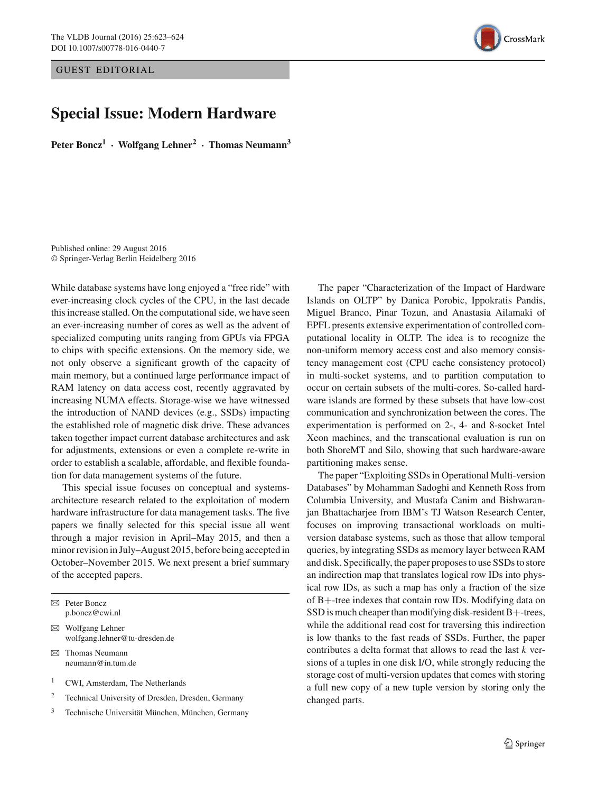GUEST EDITORIAL

## **Special Issue: Modern Hardware**

**Peter Boncz1 · Wolfgang Lehner2 · Thomas Neumann3**

Published online: 29 August 2016 © Springer-Verlag Berlin Heidelberg 2016

While database systems have long enjoyed a "free ride" with ever-increasing clock cycles of the CPU, in the last decade this increase stalled. On the computational side, we have seen an ever-increasing number of cores as well as the advent of specialized computing units ranging from GPUs via FPGA to chips with specific extensions. On the memory side, we not only observe a significant growth of the capacity of main memory, but a continued large performance impact of RAM latency on data access cost, recently aggravated by increasing NUMA effects. Storage-wise we have witnessed the introduction of NAND devices (e.g., SSDs) impacting the established role of magnetic disk drive. These advances taken together impact current database architectures and ask for adjustments, extensions or even a complete re-write in order to establish a scalable, affordable, and flexible foundation for data management systems of the future.

This special issue focuses on conceptual and systemsarchitecture research related to the exploitation of modern hardware infrastructure for data management tasks. The five papers we finally selected for this special issue all went through a major revision in April–May 2015, and then a minor revision in July–August 2015, before being accepted in October–November 2015. We next present a brief summary of the accepted papers.

B Peter Boncz p.boncz@cwi.nl

 $\boxtimes$  Wolfgang Lehner wolfgang.lehner@tu-dresden.de

 $\boxtimes$  Thomas Neumann neumann@in.tum.de

<sup>1</sup> CWI, Amsterdam, The Netherlands

<sup>2</sup> Technical University of Dresden, Dresden, Germany

<sup>3</sup> Technische Universität München, München, Germany

The paper "Characterization of the Impact of Hardware Islands on OLTP" by Danica Porobic, Ippokratis Pandis, Miguel Branco, Pinar Tozun, and Anastasia Ailamaki of EPFL presents extensive experimentation of controlled computational locality in OLTP. The idea is to recognize the non-uniform memory access cost and also memory consistency management cost (CPU cache consistency protocol) in multi-socket systems, and to partition computation to occur on certain subsets of the multi-cores. So-called hardware islands are formed by these subsets that have low-cost communication and synchronization between the cores. The experimentation is performed on 2-, 4- and 8-socket Intel Xeon machines, and the transcational evaluation is run on both ShoreMT and Silo, showing that such hardware-aware partitioning makes sense.

The paper "Exploiting SSDs in Operational Multi-version Databases" by Mohamman Sadoghi and Kenneth Ross from Columbia University, and Mustafa Canim and Bishwaranjan Bhattacharjee from IBM's TJ Watson Research Center, focuses on improving transactional workloads on multiversion database systems, such as those that allow temporal queries, by integrating SSDs as memory layer between RAM and disk. Specifically, the paper proposes to use SSDs to store an indirection map that translates logical row IDs into physical row IDs, as such a map has only a fraction of the size of B+-tree indexes that contain row IDs. Modifying data on SSD is much cheaper than modifying disk-resident B+-trees, while the additional read cost for traversing this indirection is low thanks to the fast reads of SSDs. Further, the paper contributes a delta format that allows to read the last *k* versions of a tuples in one disk I/O, while strongly reducing the storage cost of multi-version updates that comes with storing a full new copy of a new tuple version by storing only the changed parts.